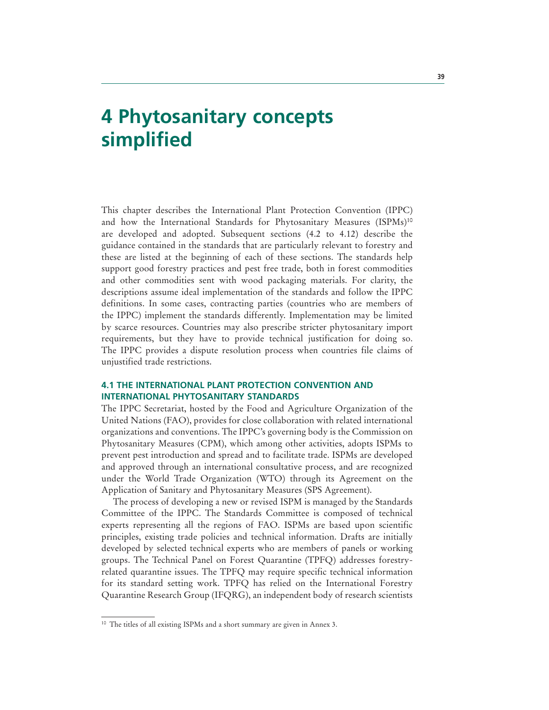# **4 Phytosanitary concepts simplified**

This chapter describes the International Plant Protection Convention (IPPC) and how the International Standards for Phytosanitary Measures (ISPMs)10 are developed and adopted. Subsequent sections (4.2 to 4.12) describe the guidance contained in the standards that are particularly relevant to forestry and these are listed at the beginning of each of these sections. The standards help support good forestry practices and pest free trade, both in forest commodities and other commodities sent with wood packaging materials. For clarity, the descriptions assume ideal implementation of the standards and follow the IPPC definitions. In some cases, contracting parties (countries who are members of the IPPC) implement the standards differently. Implementation may be limited by scarce resources. Countries may also prescribe stricter phytosanitary import requirements, but they have to provide technical justification for doing so. The IPPC provides a dispute resolution process when countries file claims of unjustified trade restrictions.

# **4.1 THE INTERNATIONAL PLANT PROTECTION CONVENTION AND INTERNATIONAL PHYTOSANITARY STANDARDS**

The IPPC Secretariat, hosted by the Food and Agriculture Organization of the United Nations (FAO), provides for close collaboration with related international organizations and conventions. The IPPC's governing body is the Commission on Phytosanitary Measures (CPM), which among other activities, adopts ISPMs to prevent pest introduction and spread and to facilitate trade. ISPMs are developed and approved through an international consultative process, and are recognized under the World Trade Organization (WTO) through its Agreement on the Application of Sanitary and Phytosanitary Measures (SPS Agreement).

The process of developing a new or revised ISPM is managed by the Standards Committee of the IPPC. The Standards Committee is composed of technical experts representing all the regions of FAO. ISPMs are based upon scientific principles, existing trade policies and technical information. Drafts are initially developed by selected technical experts who are members of panels or working groups. The Technical Panel on Forest Quarantine (TPFQ) addresses forestryrelated quarantine issues. The TPFQ may require specific technical information for its standard setting work. TPFQ has relied on the International Forestry Quarantine Research Group (IFQRG), an independent body of research scientists

<sup>10</sup> The titles of all existing ISPMs and a short summary are given in Annex 3.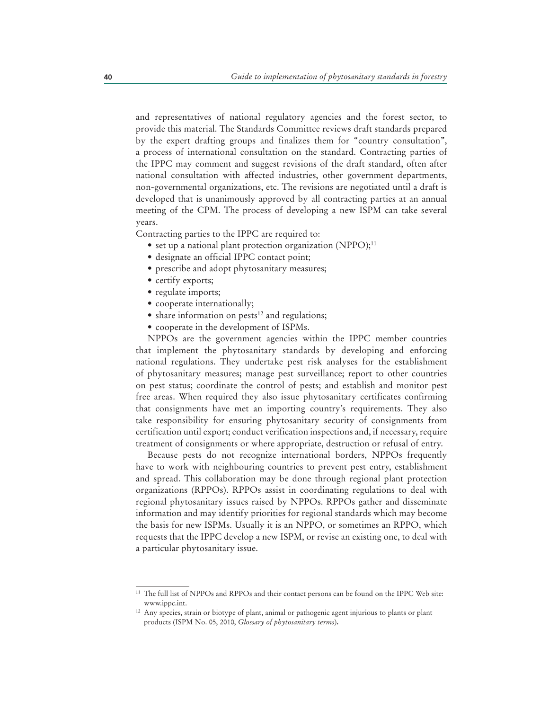and representatives of national regulatory agencies and the forest sector, to provide this material. The Standards Committee reviews draft standards prepared by the expert drafting groups and finalizes them for "country consultation", a process of international consultation on the standard. Contracting parties of the IPPC may comment and suggest revisions of the draft standard, often after national consultation with affected industries, other government departments, non-governmental organizations, etc. The revisions are negotiated until a draft is developed that is unanimously approved by all contracting parties at an annual meeting of the CPM. The process of developing a new ISPM can take several years.

Contracting parties to the IPPC are required to:

- $\bullet$  set up a national plant protection organization (NPPO);<sup>11</sup>
- designate an official IPPC contact point;
- prescribe and adopt phytosanitary measures;
- certify exports;
- regulate imports;
- cooperate internationally;
- $\bullet$  share information on pests<sup>12</sup> and regulations;
- cooperate in the development of ISPMs.

NPPOs are the government agencies within the IPPC member countries that implement the phytosanitary standards by developing and enforcing national regulations. They undertake pest risk analyses for the establishment of phytosanitary measures; manage pest surveillance; report to other countries on pest status; coordinate the control of pests; and establish and monitor pest free areas. When required they also issue phytosanitary certificates confirming that consignments have met an importing country's requirements. They also take responsibility for ensuring phytosanitary security of consignments from certification until export; conduct verification inspections and, if necessary, require treatment of consignments or where appropriate, destruction or refusal of entry.

Because pests do not recognize international borders, NPPOs frequently have to work with neighbouring countries to prevent pest entry, establishment and spread. This collaboration may be done through regional plant protection organizations (RPPOs). RPPOs assist in coordinating regulations to deal with regional phytosanitary issues raised by NPPOs. RPPOs gather and disseminate information and may identify priorities for regional standards which may become the basis for new ISPMs. Usually it is an NPPO, or sometimes an RPPO, which requests that the IPPC develop a new ISPM, or revise an existing one, to deal with a particular phytosanitary issue.

<sup>11</sup> The full list of NPPOs and RPPOs and their contact persons can be found on the IPPC Web site: www.ippc.int.

<sup>&</sup>lt;sup>12</sup> Any species, strain or biotype of plant, animal or pathogenic agent injurious to plants or plant products (ISPM No. 05, 2010, *Glossary of phytosanitary terms*)**.**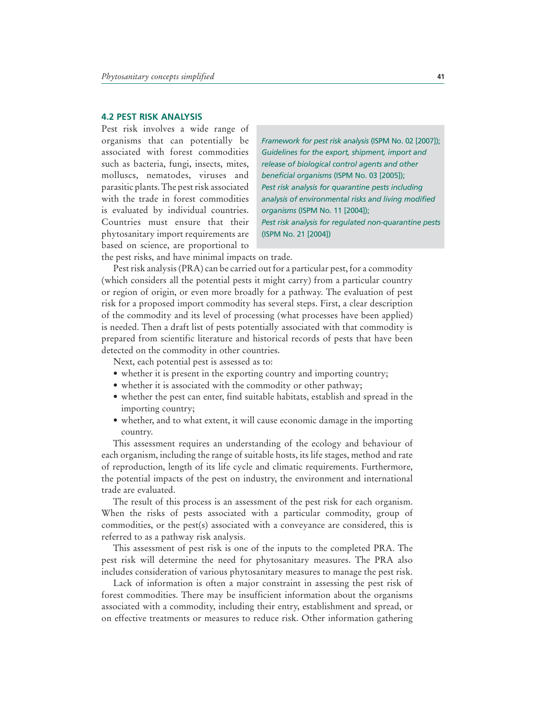# **4.2 PEST RISK ANALYSIS**

Pest risk involves a wide range of organisms that can potentially be associated with forest commodities such as bacteria, fungi, insects, mites, molluscs, nematodes, viruses and parasitic plants. The pest risk associated with the trade in forest commodities is evaluated by individual countries. Countries must ensure that their phytosanitary import requirements are based on science, are proportional to

*Framework for pest risk analysis* (ISPM No. 02 [2007]); *Guidelines for the export, shipment, import and release of biological control agents and other beneficial organisms* (ISPM No. 03 [2005]); *Pest risk analysis for quarantine pests including analysis of environmental risks and living modified organisms* (ISPM No. 11 [2004]); *Pest risk analysis for regulated non-quarantine pests*  (ISPM No. 21 [2004])

the pest risks, and have minimal impacts on trade.

Pest risk analysis (PRA) can be carried out for a particular pest, for a commodity (which considers all the potential pests it might carry) from a particular country or region of origin, or even more broadly for a pathway. The evaluation of pest risk for a proposed import commodity has several steps. First, a clear description of the commodity and its level of processing (what processes have been applied) is needed. Then a draft list of pests potentially associated with that commodity is prepared from scientific literature and historical records of pests that have been detected on the commodity in other countries.

Next, each potential pest is assessed as to:

- whether it is present in the exporting country and importing country;
- whether it is associated with the commodity or other pathway;
- whether the pest can enter, find suitable habitats, establish and spread in the importing country;
- whether, and to what extent, it will cause economic damage in the importing country.

This assessment requires an understanding of the ecology and behaviour of each organism, including the range of suitable hosts, its life stages, method and rate of reproduction, length of its life cycle and climatic requirements. Furthermore, the potential impacts of the pest on industry, the environment and international trade are evaluated.

The result of this process is an assessment of the pest risk for each organism. When the risks of pests associated with a particular commodity, group of commodities, or the pest(s) associated with a conveyance are considered, this is referred to as a pathway risk analysis.

This assessment of pest risk is one of the inputs to the completed PRA. The pest risk will determine the need for phytosanitary measures. The PRA also includes consideration of various phytosanitary measures to manage the pest risk.

Lack of information is often a major constraint in assessing the pest risk of forest commodities. There may be insufficient information about the organisms associated with a commodity, including their entry, establishment and spread, or on effective treatments or measures to reduce risk. Other information gathering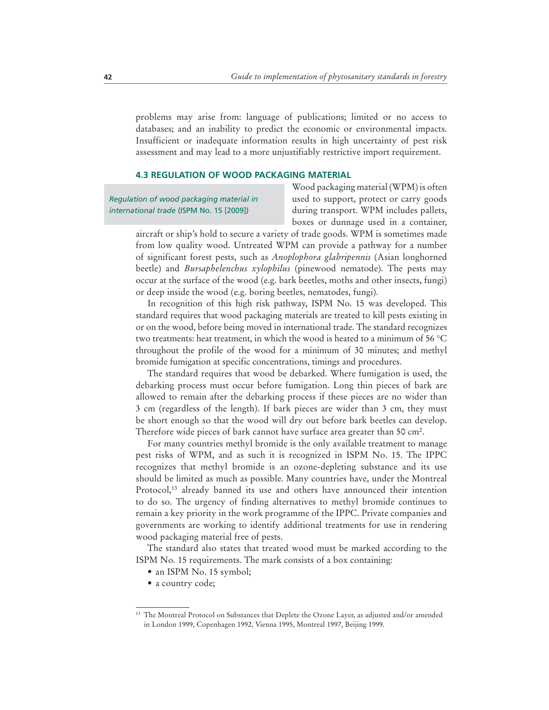problems may arise from: language of publications; limited or no access to databases; and an inability to predict the economic or environmental impacts. Insufficient or inadequate information results in high uncertainty of pest risk assessment and may lead to a more unjustifiably restrictive import requirement.

# **4.3 REGULATION OF WOOD PACKAGING MATERIAL**

*Regulation of wood packaging material in international trade* (ISPM No. 15 [2009])

Wood packaging material (WPM) is often used to support, protect or carry goods during transport. WPM includes pallets, boxes or dunnage used in a container,

aircraft or ship's hold to secure a variety of trade goods. WPM is sometimes made from low quality wood. Untreated WPM can provide a pathway for a number of significant forest pests, such as *Anoplophora glabripennis* (Asian longhorned beetle) and *Bursaphelenchus xylophilus* (pinewood nematode). The pests may occur at the surface of the wood (e.g. bark beetles, moths and other insects, fungi) or deep inside the wood (e.g. boring beetles, nematodes, fungi).

In recognition of this high risk pathway, ISPM No. 15 was developed. This standard requires that wood packaging materials are treated to kill pests existing in or on the wood, before being moved in international trade. The standard recognizes two treatments: heat treatment, in which the wood is heated to a minimum of 56 °C throughout the profile of the wood for a minimum of 30 minutes; and methyl bromide fumigation at specific concentrations, timings and procedures.

The standard requires that wood be debarked. Where fumigation is used, the debarking process must occur before fumigation. Long thin pieces of bark are allowed to remain after the debarking process if these pieces are no wider than 3 cm (regardless of the length). If bark pieces are wider than 3 cm, they must be short enough so that the wood will dry out before bark beetles can develop. Therefore wide pieces of bark cannot have surface area greater than 50 cm<sup>2</sup>.

For many countries methyl bromide is the only available treatment to manage pest risks of WPM, and as such it is recognized in ISPM No. 15. The IPPC recognizes that methyl bromide is an ozone-depleting substance and its use should be limited as much as possible. Many countries have, under the Montreal Protocol,<sup>13</sup> already banned its use and others have announced their intention to do so. The urgency of finding alternatives to methyl bromide continues to remain a key priority in the work programme of the IPPC. Private companies and governments are working to identify additional treatments for use in rendering wood packaging material free of pests.

The standard also states that treated wood must be marked according to the ISPM No. 15 requirements. The mark consists of a box containing:

- an ISPM No. 15 symbol;
- a country code;

<sup>&</sup>lt;sup>13</sup> The Montreal Protocol on Substances that Deplete the Ozone Layer, as adjusted and/or amended in London 1999, Copenhagen 1992, Vienna 1995, Montreal 1997, Beijing 1999.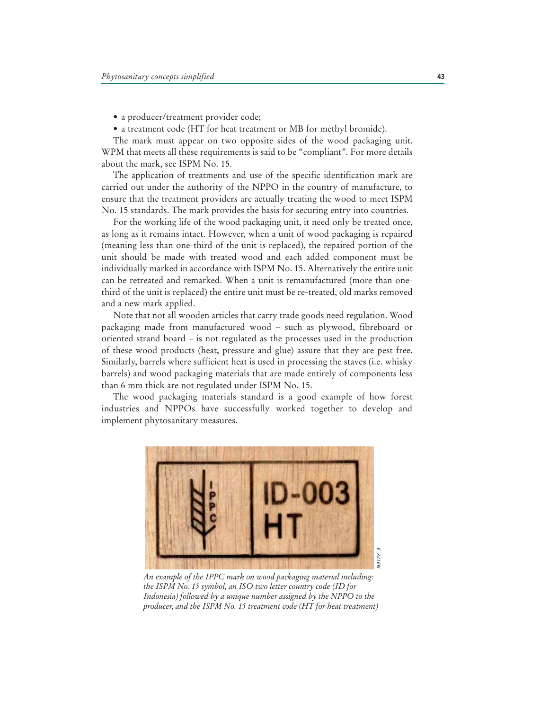• a producer/treatment provider code;

• a treatment code (HT for heat treatment or MB for methyl bromide).

The mark must appear on two opposite sides of the wood packaging unit. WPM that meets all these requirements is said to be "compliant". For more details about the mark, see ISPM No. 15.

The application of treatments and use of the specific identification mark are carried out under the authority of the NPPO in the country of manufacture, to ensure that the treatment providers are actually treating the wood to meet ISPM No. 15 standards. The mark provides the basis for securing entry into countries.

For the working life of the wood packaging unit, it need only be treated once, as long as it remains intact. However, when a unit of wood packaging is repaired (meaning less than one-third of the unit is replaced), the repaired portion of the unit should be made with treated wood and each added component must be individually marked in accordance with ISPM No. 15. Alternatively the entire unit can be retreated and remarked. When a unit is remanufactured (more than onethird of the unit is replaced) the entire unit must be re-treated, old marks removed and a new mark applied.

Note that not all wooden articles that carry trade goods need regulation. Wood packaging made from manufactured wood – such as plywood, fibreboard or oriented strand board – is not regulated as the processes used in the production of these wood products (heat, pressure and glue) assure that they are pest free. Similarly, barrels where sufficient heat is used in processing the staves (i.e. whisky barrels) and wood packaging materials that are made entirely of components less than 6 mm thick are not regulated under ISPM No. 15.

The wood packaging materials standard is a good example of how forest industries and NPPOs have successfully worked together to develop and implement phytosanitary measures.



*An example of the IPPC mark on wood packaging material including: the ISPM No. 15 symbol, an ISO two letter country code (ID for Indonesia) followed by a unique number assigned by the NPPO to the producer, and the IPPC mark on wood packaging material including:*<br>*Producer and the IPPC mark on wood packaging material including:*<br>*Producer, and the ISPM No. 15 treatment code (HT for heat treatment)*<br>*Producer, and t*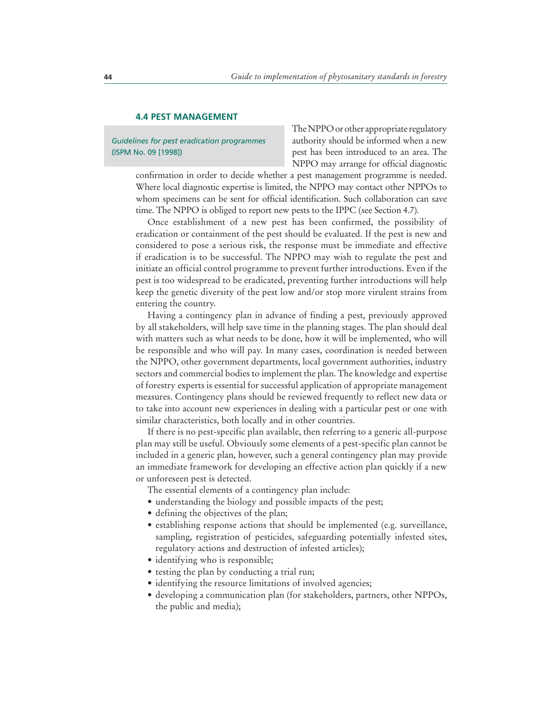#### **4.4 PEST MANAGEMENT**

*Guidelines for pest eradication programmes*  (ISPM No. 09 [1998])

The NPPO or other appropriate regulatory authority should be informed when a new pest has been introduced to an area. The NPPO may arrange for official diagnostic

confirmation in order to decide whether a pest management programme is needed. Where local diagnostic expertise is limited, the NPPO may contact other NPPOs to whom specimens can be sent for official identification. Such collaboration can save time. The NPPO is obliged to report new pests to the IPPC (see Section 4.7).

Once establishment of a new pest has been confirmed, the possibility of eradication or containment of the pest should be evaluated. If the pest is new and considered to pose a serious risk, the response must be immediate and effective if eradication is to be successful. The NPPO may wish to regulate the pest and initiate an official control programme to prevent further introductions. Even if the pest is too widespread to be eradicated, preventing further introductions will help keep the genetic diversity of the pest low and/or stop more virulent strains from entering the country.

Having a contingency plan in advance of finding a pest, previously approved by all stakeholders, will help save time in the planning stages. The plan should deal with matters such as what needs to be done, how it will be implemented, who will be responsible and who will pay. In many cases, coordination is needed between the NPPO, other government departments, local government authorities, industry sectors and commercial bodies to implement the plan. The knowledge and expertise of forestry experts is essential for successful application of appropriate management measures. Contingency plans should be reviewed frequently to reflect new data or to take into account new experiences in dealing with a particular pest or one with similar characteristics, both locally and in other countries.

If there is no pest-specific plan available, then referring to a generic all-purpose plan may still be useful. Obviously some elements of a pest-specific plan cannot be included in a generic plan, however, such a general contingency plan may provide an immediate framework for developing an effective action plan quickly if a new or unforeseen pest is detected.

The essential elements of a contingency plan include:

- understanding the biology and possible impacts of the pest;
- defining the objectives of the plan;
- establishing response actions that should be implemented (e.g. surveillance, sampling, registration of pesticides, safeguarding potentially infested sites, regulatory actions and destruction of infested articles);
- identifying who is responsible;
- testing the plan by conducting a trial run;
- identifying the resource limitations of involved agencies;
- developing a communication plan (for stakeholders, partners, other NPPOs, the public and media);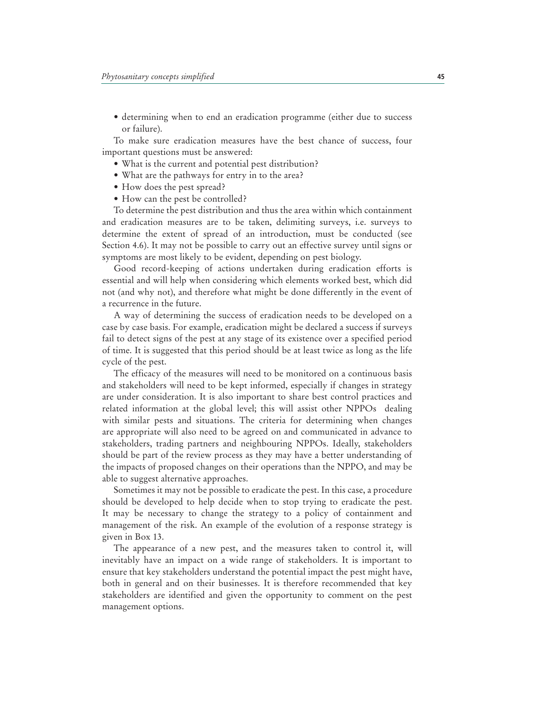• determining when to end an eradication programme (either due to success or failure).

To make sure eradication measures have the best chance of success, four important questions must be answered:

- What is the current and potential pest distribution?
- What are the pathways for entry in to the area?
- How does the pest spread?
- How can the pest be controlled?

To determine the pest distribution and thus the area within which containment and eradication measures are to be taken, delimiting surveys, i.e. surveys to determine the extent of spread of an introduction, must be conducted (see Section 4.6). It may not be possible to carry out an effective survey until signs or symptoms are most likely to be evident, depending on pest biology.

Good record-keeping of actions undertaken during eradication efforts is essential and will help when considering which elements worked best, which did not (and why not), and therefore what might be done differently in the event of a recurrence in the future.

A way of determining the success of eradication needs to be developed on a case by case basis. For example, eradication might be declared a success if surveys fail to detect signs of the pest at any stage of its existence over a specified period of time. It is suggested that this period should be at least twice as long as the life cycle of the pest.

The efficacy of the measures will need to be monitored on a continuous basis and stakeholders will need to be kept informed, especially if changes in strategy are under consideration. It is also important to share best control practices and related information at the global level; this will assist other NPPOs dealing with similar pests and situations. The criteria for determining when changes are appropriate will also need to be agreed on and communicated in advance to stakeholders, trading partners and neighbouring NPPOs. Ideally, stakeholders should be part of the review process as they may have a better understanding of the impacts of proposed changes on their operations than the NPPO, and may be able to suggest alternative approaches.

Sometimes it may not be possible to eradicate the pest. In this case, a procedure should be developed to help decide when to stop trying to eradicate the pest. It may be necessary to change the strategy to a policy of containment and management of the risk. An example of the evolution of a response strategy is given in Box 13.

The appearance of a new pest, and the measures taken to control it, will inevitably have an impact on a wide range of stakeholders. It is important to ensure that key stakeholders understand the potential impact the pest might have, both in general and on their businesses. It is therefore recommended that key stakeholders are identified and given the opportunity to comment on the pest management options.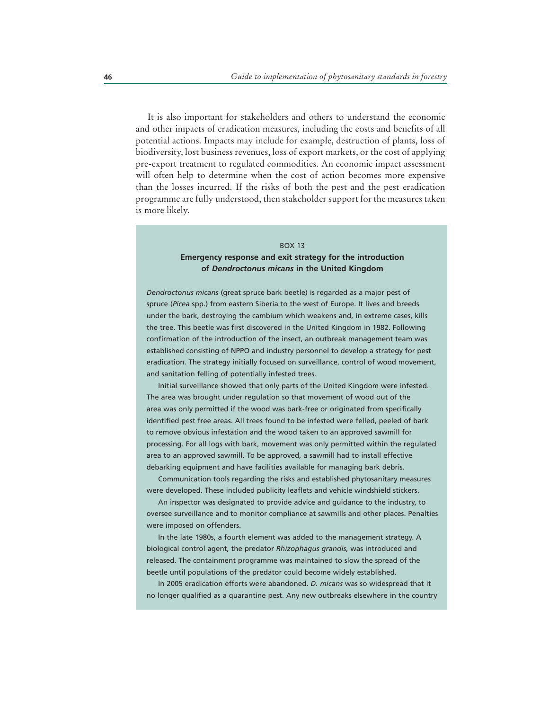It is also important for stakeholders and others to understand the economic and other impacts of eradication measures, including the costs and benefits of all potential actions. Impacts may include for example, destruction of plants, loss of biodiversity, lost business revenues, loss of export markets, or the cost of applying pre-export treatment to regulated commodities. An economic impact assessment will often help to determine when the cost of action becomes more expensive than the losses incurred. If the risks of both the pest and the pest eradication programme are fully understood, then stakeholder support for the measures taken is more likely.

#### BOX 13

# **Emergency response and exit strategy for the introduction of** *Dendroctonus micans* **in the United Kingdom**

*Dendroctonus micans* (great spruce bark beetle) is regarded as a major pest of spruce (*Picea* spp.) from eastern Siberia to the west of Europe. It lives and breeds under the bark, destroying the cambium which weakens and, in extreme cases, kills the tree. This beetle was first discovered in the United Kingdom in 1982. Following confirmation of the introduction of the insect, an outbreak management team was established consisting of NPPO and industry personnel to develop a strategy for pest eradication. The strategy initially focused on surveillance, control of wood movement, and sanitation felling of potentially infested trees.

Initial surveillance showed that only parts of the United Kingdom were infested. The area was brought under regulation so that movement of wood out of the area was only permitted if the wood was bark-free or originated from specifically identified pest free areas. All trees found to be infested were felled, peeled of bark to remove obvious infestation and the wood taken to an approved sawmill for processing. For all logs with bark, movement was only permitted within the regulated area to an approved sawmill. To be approved, a sawmill had to install effective debarking equipment and have facilities available for managing bark debris.

Communication tools regarding the risks and established phytosanitary measures were developed. These included publicity leaflets and vehicle windshield stickers.

An inspector was designated to provide advice and guidance to the industry, to oversee surveillance and to monitor compliance at sawmills and other places. Penalties were imposed on offenders.

In the late 1980s, a fourth element was added to the management strategy. A biological control agent, the predator *Rhizophagus grandis*, was introduced and released. The containment programme was maintained to slow the spread of the beetle until populations of the predator could become widely established.

In 2005 eradication efforts were abandoned. *D. micans* was so widespread that it no longer qualified as a quarantine pest. Any new outbreaks elsewhere in the country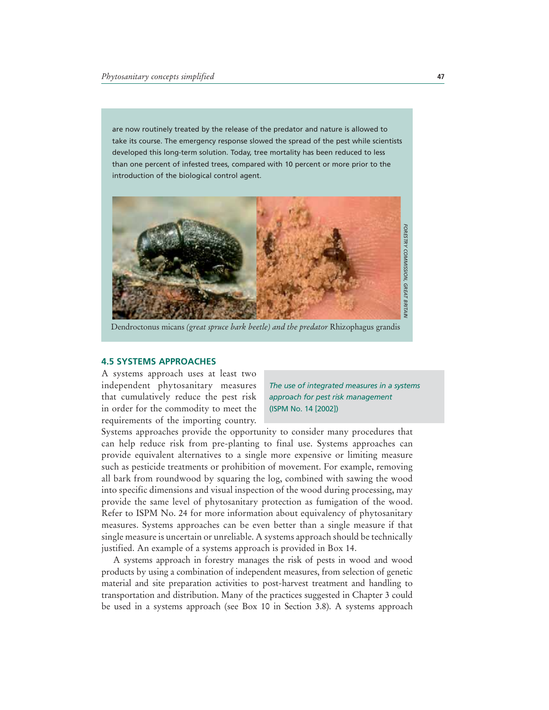are now routinely treated by the release of the predator and nature is allowed to take its course. The emergency response slowed the spread of the pest while scientists developed this long-term solution. Today, tree mortality has been reduced to less than one percent of infested trees, compared with 10 percent or more prior to the introduction of the biological control agent.



Dendroctonus micans *(great spruce bark beetle) and the predator* Rhizophagus grandis

#### **4.5 SYSTEMS APPROACHES**

A systems approach uses at least two independent phytosanitary measures that cumulatively reduce the pest risk in order for the commodity to meet the requirements of the importing country.

*The use of integrated measures in a systems approach for pest risk management* (ISPM No. 14 [2002])

Systems approaches provide the opportunity to consider many procedures that can help reduce risk from pre-planting to final use. Systems approaches can provide equivalent alternatives to a single more expensive or limiting measure such as pesticide treatments or prohibition of movement. For example, removing all bark from roundwood by squaring the log, combined with sawing the wood into specific dimensions and visual inspection of the wood during processing, may provide the same level of phytosanitary protection as fumigation of the wood. Refer to ISPM No. 24 for more information about equivalency of phytosanitary measures. Systems approaches can be even better than a single measure if that single measure is uncertain or unreliable. A systems approach should be technically justified. An example of a systems approach is provided in Box 14.

A systems approach in forestry manages the risk of pests in wood and wood products by using a combination of independent measures, from selection of genetic material and site preparation activities to post-harvest treatment and handling to transportation and distribution. Many of the practices suggested in Chapter 3 could be used in a systems approach (see Box 10 in Section 3.8). A systems approach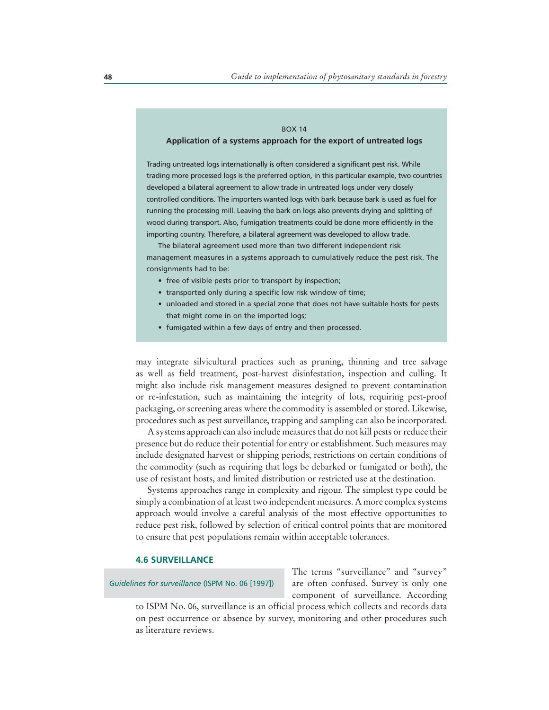# BOX 14 **Application of a systems approach for the export of untreated logs**

Trading untreated logs internationally is often considered a significant pest risk. While trading more processed logs is the preferred option, in this particular example, two countries developed a bilateral agreement to allow trade in untreated logs under very closely controlled conditions. The importers wanted logs with bark because bark is used as fuel for running the processing mill. Leaving the bark on logs also prevents drying and splitting of wood during transport. Also, fumigation treatments could be done more efficiently in the importing country. Therefore, a bilateral agreement was developed to allow trade.

The bilateral agreement used more than two different independent risk management measures in a systems approach to cumulatively reduce the pest risk. The consignments had to be:

- free of visible pests prior to transport by inspection;
- transported only during a specific low risk window of time;
- unloaded and stored in a special zone that does not have suitable hosts for pests that might come in on the imported logs;
- fumigated within a few days of entry and then processed.

may integrate silvicultural practices such as pruning, thinning and tree salvage as well as field treatment, post-harvest disinfestation, inspection and culling. It might also include risk management measures designed to prevent contamination or re-infestation, such as maintaining the integrity of lots, requiring pest-proof packaging, or screening areas where the commodity is assembled or stored. Likewise, procedures such as pest surveillance, trapping and sampling can also be incorporated.

A systems approach can also include measures that do not kill pests or reduce their presence but do reduce their potential for entry or establishment. Such measures may include designated harvest or shipping periods, restrictions on certain conditions of the commodity (such as requiring that logs be debarked or fumigated or both), the use of resistant hosts, and limited distribution or restricted use at the destination.

Systems approaches range in complexity and rigour. The simplest type could be simply a combination of at least two independent measures. A more complex systems approach would involve a careful analysis of the most effective opportunities to reduce pest risk, followed by selection of critical control points that are monitored to ensure that pest populations remain within acceptable tolerances.

## **4.6 SURVEILLANCE**

#### *Guidelines for surveillance* (ISPM No. 06 [1997])

The terms "surveillance" and "survey" are often confused. Survey is only one component of surveillance. According

to ISPM No. 06, surveillance is an official process which collects and records data on pest occurrence or absence by survey, monitoring and other procedures such as literature reviews.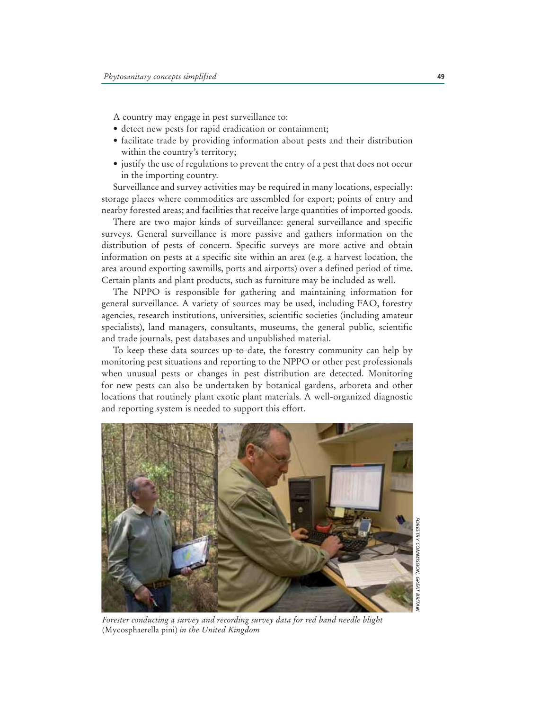A country may engage in pest surveillance to:

- detect new pests for rapid eradication or containment;
- facilitate trade by providing information about pests and their distribution within the country's territory;
- justify the use of regulations to prevent the entry of a pest that does not occur in the importing country.

Surveillance and survey activities may be required in many locations, especially: storage places where commodities are assembled for export; points of entry and nearby forested areas; and facilities that receive large quantities of imported goods.

There are two major kinds of surveillance: general surveillance and specific surveys. General surveillance is more passive and gathers information on the distribution of pests of concern. Specific surveys are more active and obtain information on pests at a specific site within an area (e.g. a harvest location, the area around exporting sawmills, ports and airports) over a defined period of time. Certain plants and plant products, such as furniture may be included as well.

The NPPO is responsible for gathering and maintaining information for general surveillance. A variety of sources may be used, including FAO, forestry agencies, research institutions, universities, scientific societies (including amateur specialists), land managers, consultants, museums, the general public, scientific and trade journals, pest databases and unpublished material.

To keep these data sources up-to-date, the forestry community can help by monitoring pest situations and reporting to the NPPO or other pest professionals when unusual pests or changes in pest distribution are detected. Monitoring for new pests can also be undertaken by botanical gardens, arboreta and other locations that routinely plant exotic plant materials. A well-organized diagnostic and reporting system is needed to support this effort.



*Forester conducting a survey and recording survey data for red band needle blight*  (Mycosphaerella pini) *in the United Kingdom*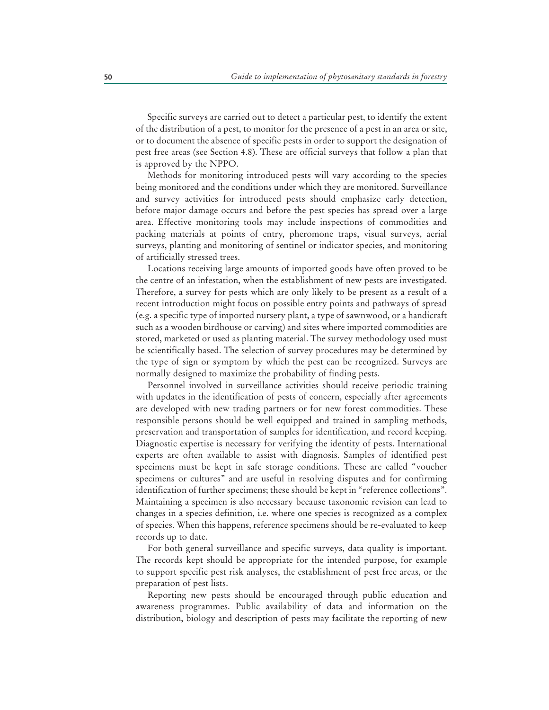Specific surveys are carried out to detect a particular pest, to identify the extent of the distribution of a pest, to monitor for the presence of a pest in an area or site, or to document the absence of specific pests in order to support the designation of pest free areas (see Section 4.8). These are official surveys that follow a plan that is approved by the NPPO.

Methods for monitoring introduced pests will vary according to the species being monitored and the conditions under which they are monitored. Surveillance and survey activities for introduced pests should emphasize early detection, before major damage occurs and before the pest species has spread over a large area. Effective monitoring tools may include inspections of commodities and packing materials at points of entry, pheromone traps, visual surveys, aerial surveys, planting and monitoring of sentinel or indicator species, and monitoring of artificially stressed trees.

Locations receiving large amounts of imported goods have often proved to be the centre of an infestation, when the establishment of new pests are investigated. Therefore, a survey for pests which are only likely to be present as a result of a recent introduction might focus on possible entry points and pathways of spread (e.g. a specific type of imported nursery plant, a type of sawnwood, or a handicraft such as a wooden birdhouse or carving) and sites where imported commodities are stored, marketed or used as planting material. The survey methodology used must be scientifically based. The selection of survey procedures may be determined by the type of sign or symptom by which the pest can be recognized. Surveys are normally designed to maximize the probability of finding pests.

Personnel involved in surveillance activities should receive periodic training with updates in the identification of pests of concern, especially after agreements are developed with new trading partners or for new forest commodities. These responsible persons should be well-equipped and trained in sampling methods, preservation and transportation of samples for identification, and record keeping. Diagnostic expertise is necessary for verifying the identity of pests. International experts are often available to assist with diagnosis. Samples of identified pest specimens must be kept in safe storage conditions. These are called "voucher specimens or cultures" and are useful in resolving disputes and for confirming identification of further specimens; these should be kept in "reference collections". Maintaining a specimen is also necessary because taxonomic revision can lead to changes in a species definition, i.e. where one species is recognized as a complex of species. When this happens, reference specimens should be re-evaluated to keep records up to date.

For both general surveillance and specific surveys, data quality is important. The records kept should be appropriate for the intended purpose, for example to support specific pest risk analyses, the establishment of pest free areas, or the preparation of pest lists.

Reporting new pests should be encouraged through public education and awareness programmes. Public availability of data and information on the distribution, biology and description of pests may facilitate the reporting of new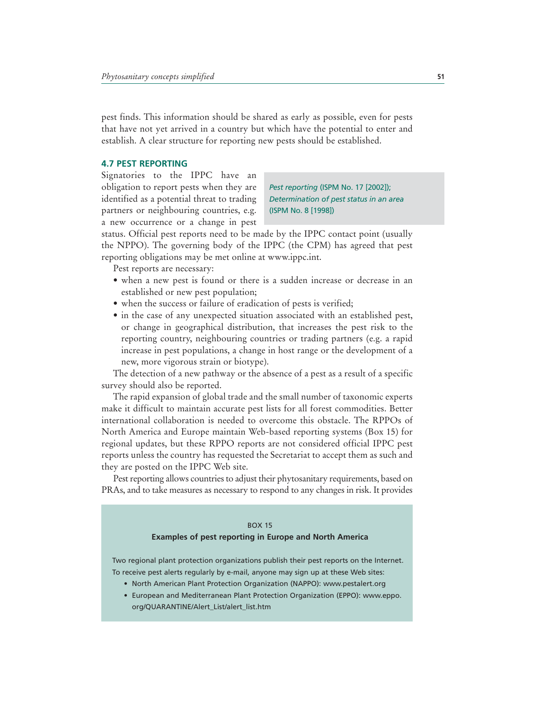pest finds. This information should be shared as early as possible, even for pests that have not yet arrived in a country but which have the potential to enter and establish. A clear structure for reporting new pests should be established.

#### **4.7 PEST REPORTING**

Signatories to the IPPC have an obligation to report pests when they are identified as a potential threat to trading partners or neighbouring countries, e.g. a new occurrence or a change in pest

*Pest reporting* (ISPM No. 17 [2002]); *Determination of pest status in an area*  (ISPM No. 8 [1998])

status. Official pest reports need to be made by the IPPC contact point (usually the NPPO). The governing body of the IPPC (the CPM) has agreed that pest reporting obligations may be met online at www.ippc.int.

Pest reports are necessary:

- when a new pest is found or there is a sudden increase or decrease in an established or new pest population;
- when the success or failure of eradication of pests is verified;
- in the case of any unexpected situation associated with an established pest, or change in geographical distribution, that increases the pest risk to the reporting country, neighbouring countries or trading partners (e.g. a rapid increase in pest populations, a change in host range or the development of a new, more vigorous strain or biotype).

The detection of a new pathway or the absence of a pest as a result of a specific survey should also be reported.

The rapid expansion of global trade and the small number of taxonomic experts make it difficult to maintain accurate pest lists for all forest commodities. Better international collaboration is needed to overcome this obstacle. The RPPOs of North America and Europe maintain Web-based reporting systems (Box 15) for regional updates, but these RPPO reports are not considered official IPPC pest reports unless the country has requested the Secretariat to accept them as such and they are posted on the IPPC Web site.

Pest reporting allows countries to adjust their phytosanitary requirements, based on PRAs, and to take measures as necessary to respond to any changes in risk. It provides

#### BOX 15

## **Examples of pest reporting in Europe and North America**

Two regional plant protection organizations publish their pest reports on the Internet. To receive pest alerts regularly by e-mail, anyone may sign up at these Web sites:

- North American Plant Protection Organization (NAPPO): www.pestalert.org
- **European and Mediterranean Plant Protection Organization (EPPO): www.eppo.** org/QUARANTINE/Alert\_List/alert\_list.htm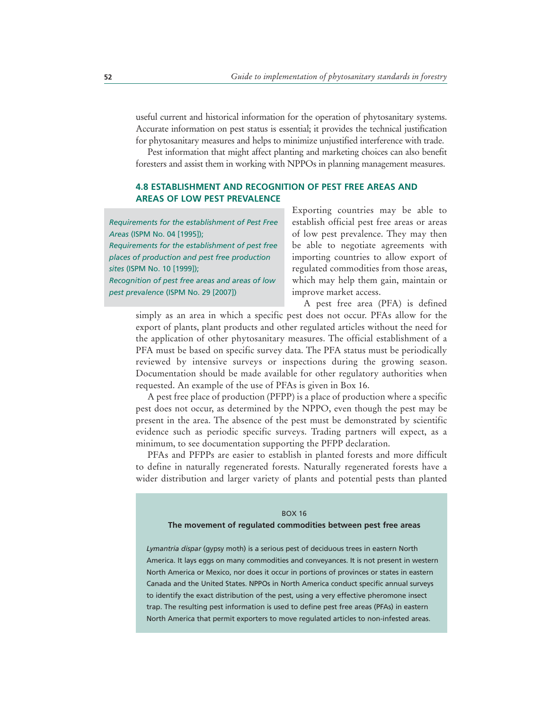useful current and historical information for the operation of phytosanitary systems. Accurate information on pest status is essential; it provides the technical justification for phytosanitary measures and helps to minimize unjustified interference with trade.

Pest information that might affect planting and marketing choices can also benefit foresters and assist them in working with NPPOs in planning management measures.

## **4.8 ESTABLISHMENT AND RECOGNITION OF PEST FREE AREAS AND AREAS OF LOW PEST PREVALENCE**

*Requirements for the establishment of Pest Free Areas* (ISPM No. 04 [1995]); *Requirements for the establishment of pest free places of production and pest free production sites* (ISPM No. 10 [1999]); *Recognition of pest free areas and areas of low pest prevalence* (ISPM No. 29 [2007])

Exporting countries may be able to establish official pest free areas or areas of low pest prevalence. They may then be able to negotiate agreements with importing countries to allow export of regulated commodities from those areas, which may help them gain, maintain or improve market access.

A pest free area (PFA) is defined simply as an area in which a specific pest does not occur. PFAs allow for the export of plants, plant products and other regulated articles without the need for the application of other phytosanitary measures. The official establishment of a PFA must be based on specific survey data. The PFA status must be periodically reviewed by intensive surveys or inspections during the growing season. Documentation should be made available for other regulatory authorities when requested. An example of the use of PFAs is given in Box 16.

A pest free place of production (PFPP) is a place of production where a specific pest does not occur, as determined by the NPPO, even though the pest may be present in the area. The absence of the pest must be demonstrated by scientific evidence such as periodic specific surveys. Trading partners will expect, as a minimum, to see documentation supporting the PFPP declaration.

PFAs and PFPPs are easier to establish in planted forests and more difficult to define in naturally regenerated forests. Naturally regenerated forests have a wider distribution and larger variety of plants and potential pests than planted

#### BOX 16

#### **The movement of regulated commodities between pest free areas**

*Lymantria dispar* (gypsy moth) is a serious pest of deciduous trees in eastern North America. It lays eggs on many commodities and conveyances. It is not present in western North America or Mexico, nor does it occur in portions of provinces or states in eastern Canada and the United States. NPPOs in North America conduct specific annual surveys to identify the exact distribution of the pest, using a very effective pheromone insect trap. The resulting pest information is used to define pest free areas (PFAs) in eastern North America that permit exporters to move regulated articles to non-infested areas.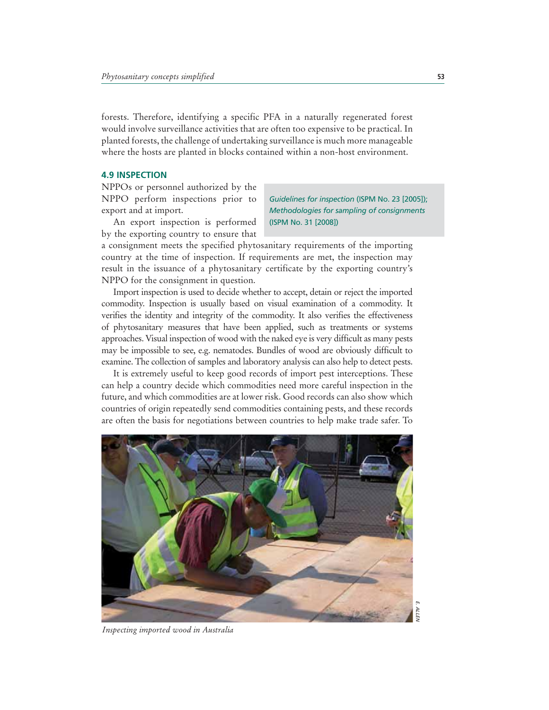forests. Therefore, identifying a specific PFA in a naturally regenerated forest would involve surveillance activities that are often too expensive to be practical. In planted forests, the challenge of undertaking surveillance is much more manageable where the hosts are planted in blocks contained within a non-host environment.

# **4.9 INSPECTION**

NPPOs or personnel authorized by the NPPO perform inspections prior to export and at import.

An export inspection is performed by the exporting country to ensure that

*Guidelines for inspection* (ISPM No. 23 [2005]); *Methodologies for sampling of consignments* (ISPM No. 31 [2008])

a consignment meets the specified phytosanitary requirements of the importing country at the time of inspection. If requirements are met, the inspection may result in the issuance of a phytosanitary certificate by the exporting country's NPPO for the consignment in question.

Import inspection is used to decide whether to accept, detain or reject the imported commodity. Inspection is usually based on visual examination of a commodity. It verifies the identity and integrity of the commodity. It also verifies the effectiveness of phytosanitary measures that have been applied, such as treatments or systems approaches. Visual inspection of wood with the naked eye is very difficult as many pests may be impossible to see, e.g. nematodes. Bundles of wood are obviously difficult to examine. The collection of samples and laboratory analysis can also help to detect pests.

It is extremely useful to keep good records of import pest interceptions. These can help a country decide which commodities need more careful inspection in the future, and which commodities are at lower risk. Good records can also show which countries of origin repeatedly send commodities containing pests, and these records are often the basis for negotiations between countries to help make trade safer. To



*Inspecting imported wood in Australia*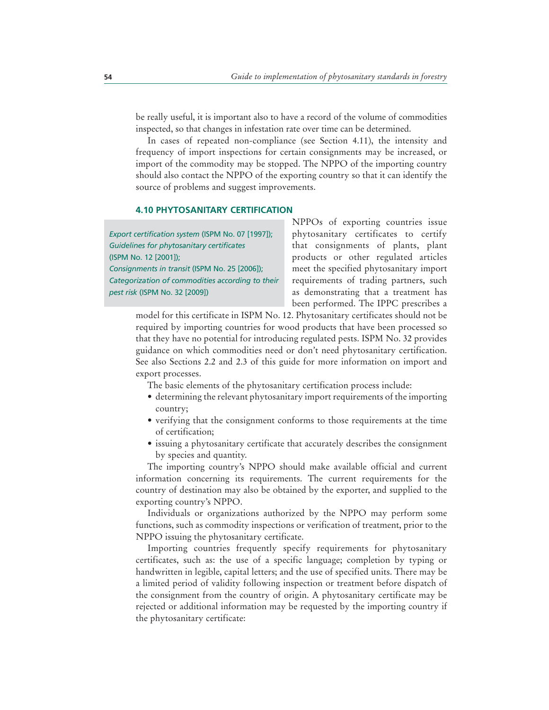be really useful, it is important also to have a record of the volume of commodities inspected, so that changes in infestation rate over time can be determined.

In cases of repeated non-compliance (see Section 4.11), the intensity and frequency of import inspections for certain consignments may be increased, or import of the commodity may be stopped. The NPPO of the importing country should also contact the NPPO of the exporting country so that it can identify the source of problems and suggest improvements.

## **4.10 PHYTOSANITARY CERTIFICATION**

*Export certification system* (ISPM No. 07 [1997]); *Guidelines for phytosanitary certificates* (ISPM No. 12 [2001]); *Consignments in transit* (ISPM No. 25 [2006]); *Categorization of commodities according to their pest risk* (ISPM No. 32 [2009])

NPPOs of exporting countries issue phytosanitary certificates to certify that consignments of plants, plant products or other regulated articles meet the specified phytosanitary import requirements of trading partners, such as demonstrating that a treatment has been performed. The IPPC prescribes a

model for this certificate in ISPM No. 12. Phytosanitary certificates should not be required by importing countries for wood products that have been processed so that they have no potential for introducing regulated pests. ISPM No. 32 provides guidance on which commodities need or don't need phytosanitary certification. See also Sections 2.2 and 2.3 of this guide for more information on import and export processes.

The basic elements of the phytosanitary certification process include:

- determining the relevant phytosanitary import requirements of the importing country;
- verifying that the consignment conforms to those requirements at the time of certification;
- issuing a phytosanitary certificate that accurately describes the consignment by species and quantity.

The importing country's NPPO should make available official and current information concerning its requirements. The current requirements for the country of destination may also be obtained by the exporter, and supplied to the exporting country's NPPO.

Individuals or organizations authorized by the NPPO may perform some functions, such as commodity inspections or verification of treatment, prior to the NPPO issuing the phytosanitary certificate.

Importing countries frequently specify requirements for phytosanitary certificates, such as: the use of a specific language; completion by typing or handwritten in legible, capital letters; and the use of specified units. There may be a limited period of validity following inspection or treatment before dispatch of the consignment from the country of origin. A phytosanitary certificate may be rejected or additional information may be requested by the importing country if the phytosanitary certificate: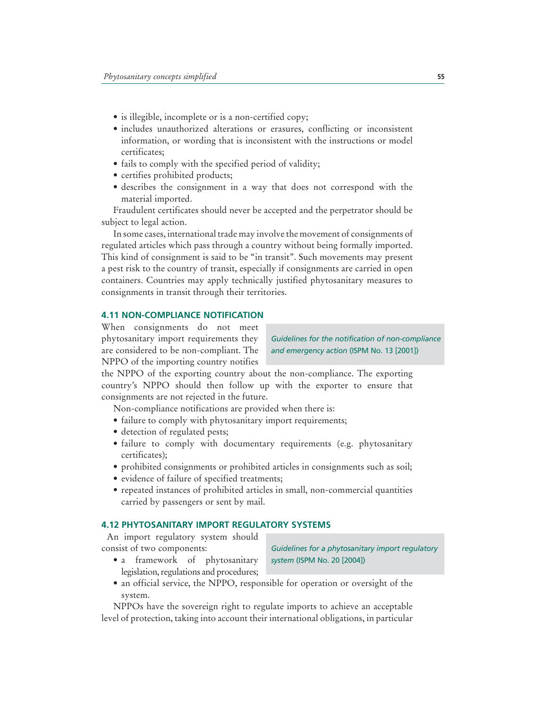- $\bullet$  is illegible, incomplete or is a non-certified copy;
- includes unauthorized alterations or erasures, conflicting or inconsistent information, or wording that is inconsistent with the instructions or model certificates;
- $\bullet$  fails to comply with the specified period of validity;
- certifies prohibited products;
- describes the consignment in a way that does not correspond with the material imported.

Fraudulent certificates should never be accepted and the perpetrator should be subject to legal action.

In some cases, international trade may involve the movement of consignments of regulated articles which pass through a country without being formally imported. This kind of consignment is said to be "in transit". Such movements may present a pest risk to the country of transit, especially if consignments are carried in open containers. Countries may apply technically justified phytosanitary measures to consignments in transit through their territories.

### **4.11 NON-COMPLIANCE NOTIFICATION**

When consignments do not meet phytosanitary import requirements they are considered to be non-compliant. The NPPO of the importing country notifies

*Guidelines for the notification of non-compliance and emergency action* (ISPM No. 13 [2001])

*Guidelines for a phytosanitary import regulatory* 

the NPPO of the exporting country about the non-compliance. The exporting country's NPPO should then follow up with the exporter to ensure that consignments are not rejected in the future.

Non-compliance notifications are provided when there is:

- failure to comply with phytosanitary import requirements;
- detection of regulated pests;
- failure to comply with documentary requirements (e.g. phytosanitary certificates);
- prohibited consignments or prohibited articles in consignments such as soil;
- evidence of failure of specified treatments;
- repeated instances of prohibited articles in small, non-commercial quantities carried by passengers or sent by mail.

## **4.12 PHYTOSANITARY IMPORT REGULATORY SYSTEMS**

 An import regulatory system should consist of two components:

- a framework of phytosanitary legislation, regulations and procedures;
- an official service, the NPPO, responsible for operation or oversight of the

*system* (ISPM No. 20 [2004])

system.

NPPOs have the sovereign right to regulate imports to achieve an acceptable level of protection, taking into account their international obligations, in particular